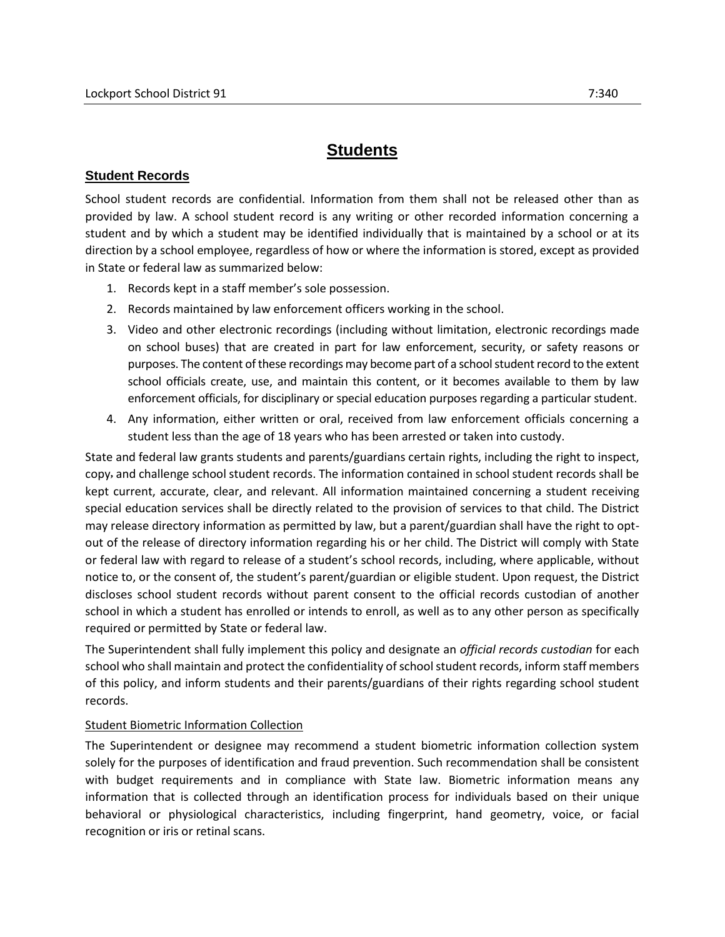## **Student Records**

School student records are confidential. Information from them shall not be released other than as provided by law. A school student record is any writing or other recorded information concerning a student and by which a student may be identified individually that is maintained by a school or at its direction by a school employee, regardless of how or where the information is stored, except as provided in State or federal law as summarized below:

- 1. Records kept in a staff member's sole possession.
- 2. Records maintained by law enforcement officers working in the school.
- 3. Video and other electronic recordings (including without limitation, electronic recordings made on school buses) that are created in part for law enforcement, security, or safety reasons or purposes. The content of these recordings may become part of a school student record to the extent school officials create, use, and maintain this content, or it becomes available to them by law enforcement officials, for disciplinary or special education purposes regarding a particular student.
- 4. Any information, either written or oral, received from law enforcement officials concerning a student less than the age of 18 years who has been arrested or taken into custody.

State and federal law grants students and parents/guardians certain rights, including the right to inspect, copy**,** and challenge school student records. The information contained in school student records shall be kept current, accurate, clear, and relevant. All information maintained concerning a student receiving special education services shall be directly related to the provision of services to that child. The District may release directory information as permitted by law, but a parent/guardian shall have the right to optout of the release of directory information regarding his or her child. The District will comply with State or federal law with regard to release of a student's school records, including, where applicable, without notice to, or the consent of, the student's parent/guardian or eligible student. Upon request, the District discloses school student records without parent consent to the official records custodian of another school in which a student has enrolled or intends to enroll, as well as to any other person as specifically required or permitted by State or federal law.

The Superintendent shall fully implement this policy and designate an *official records custodian* for each school who shall maintain and protect the confidentiality of school student records, inform staff members of this policy, and inform students and their parents/guardians of their rights regarding school student records.

## Student Biometric Information Collection

The Superintendent or designee may recommend a student biometric information collection system solely for the purposes of identification and fraud prevention. Such recommendation shall be consistent with budget requirements and in compliance with State law. Biometric information means any information that is collected through an identification process for individuals based on their unique behavioral or physiological characteristics, including fingerprint, hand geometry, voice, or facial recognition or iris or retinal scans.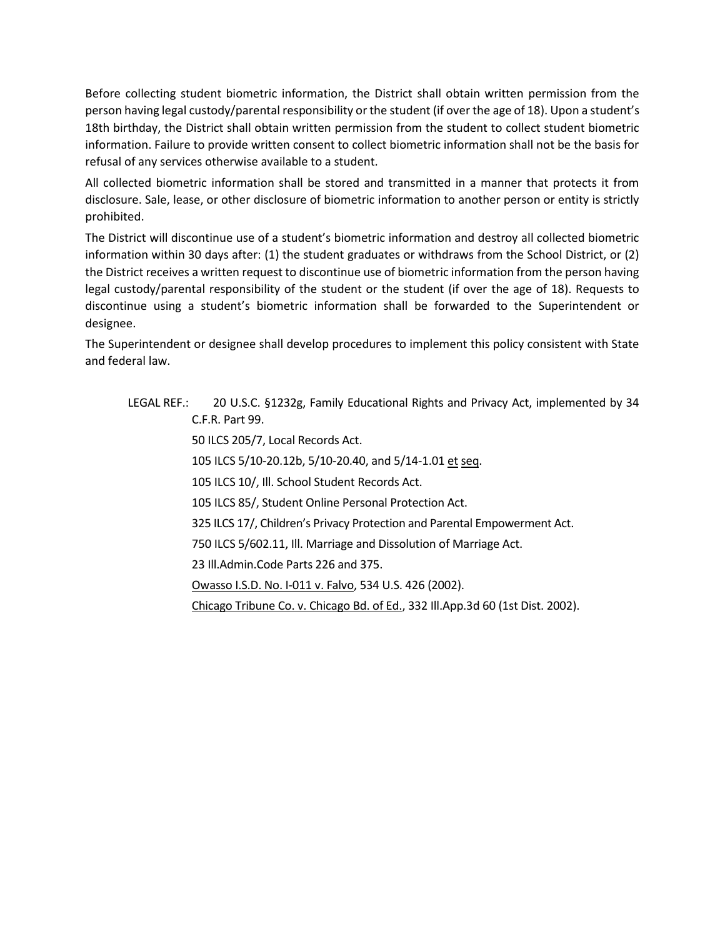Before collecting student biometric information, the District shall obtain written permission from the person having legal custody/parental responsibility or the student (if over the age of 18). Upon a student's 18th birthday, the District shall obtain written permission from the student to collect student biometric information. Failure to provide written consent to collect biometric information shall not be the basis for refusal of any services otherwise available to a student.

All collected biometric information shall be stored and transmitted in a manner that protects it from disclosure. Sale, lease, or other disclosure of biometric information to another person or entity is strictly prohibited.

The District will discontinue use of a student's biometric information and destroy all collected biometric information within 30 days after: (1) the student graduates or withdraws from the School District, or (2) the District receives a written request to discontinue use of biometric information from the person having legal custody/parental responsibility of the student or the student (if over the age of 18). Requests to discontinue using a student's biometric information shall be forwarded to the Superintendent or designee.

The Superintendent or designee shall develop procedures to implement this policy consistent with State and federal law.

## LEGAL REF.: 20 U.S.C. §1232g, Family Educational Rights and Privacy Act, implemented by 34 C.F.R. Part 99. 50 ILCS 205/7, Local Records Act. 105 ILCS 5/10-20.12b, 5/10-20.40, and 5/14-1.01 et seq. 105 ILCS 10/, Ill. School Student Records Act. 105 ILCS 85/, Student Online Personal Protection Act. 325 ILCS 17/, Children's Privacy Protection and Parental Empowerment Act. 750 ILCS 5/602.11, Ill. Marriage and Dissolution of Marriage Act. 23 Ill.Admin.Code Parts 226 and 375. Owasso I.S.D. No. I-011 v. Falvo, 534 U.S. 426 (2002). Chicago Tribune Co. v. Chicago Bd. of Ed., 332 Ill.App.3d 60 (1st Dist. 2002).